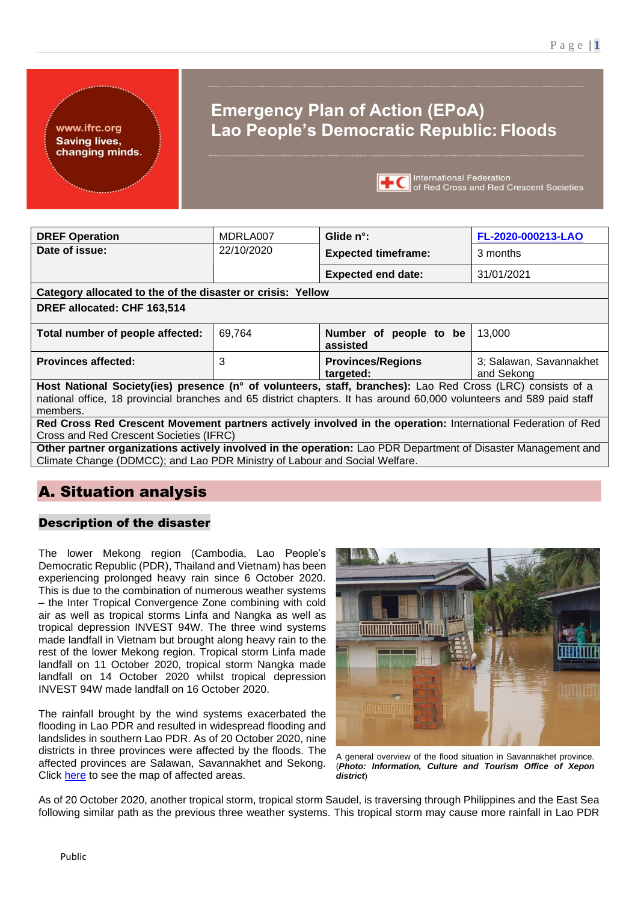www.ifrc.org **Saving lives,** changing minds.

# **Emergency Plan of Action (EPoA) Lao People's Democratic Republic: Floods**



| <b>DREF Operation</b>                                                                                                                                                                                                                          | MDRLA007   | Glide n°:                             | FL-2020-000213-LAO                    |
|------------------------------------------------------------------------------------------------------------------------------------------------------------------------------------------------------------------------------------------------|------------|---------------------------------------|---------------------------------------|
| Date of issue:                                                                                                                                                                                                                                 | 22/10/2020 | <b>Expected timeframe:</b>            | 3 months                              |
|                                                                                                                                                                                                                                                |            | <b>Expected end date:</b>             | 31/01/2021                            |
| Category allocated to the of the disaster or crisis: Yellow                                                                                                                                                                                    |            |                                       |                                       |
| DREF allocated: CHF 163,514                                                                                                                                                                                                                    |            |                                       |                                       |
| Total number of people affected:                                                                                                                                                                                                               | 69,764     | Number of<br>people to be<br>assisted | 13.000                                |
| <b>Provinces affected:</b>                                                                                                                                                                                                                     | 3          | <b>Provinces/Regions</b><br>targeted: | 3; Salawan, Savannakhet<br>and Sekong |
| Host National Society(ies) presence (n° of volunteers, staff, branches): Lao Red Cross (LRC) consists of a<br>national office, 18 provincial branches and 65 district chapters. It has around 60,000 volunteers and 589 paid staff<br>members. |            |                                       |                                       |
| Red Cross Red Crescent Movement partners actively involved in the operation: International Federation of Red<br>Cross and Red Crescent Societies (IFRC)                                                                                        |            |                                       |                                       |

**Other partner organizations actively involved in the operation:** Lao PDR Department of Disaster Management and Climate Change (DDMCC); and Lao PDR Ministry of Labour and Social Welfare.

## A. Situation analysis

### Description of the disaster

The lower Mekong region (Cambodia, Lao People's Democratic Republic (PDR), Thailand and Vietnam) has been experiencing prolonged heavy rain since 6 October 2020. This is due to the combination of numerous weather systems – the Inter Tropical Convergence Zone combining with cold air as well as tropical storms Linfa and Nangka as well as tropical depression INVEST 94W. The three wind systems made landfall in Vietnam but brought along heavy rain to the rest of the lower Mekong region. Tropical storm Linfa made landfall on 11 October 2020, tropical storm Nangka made landfall on 14 October 2020 whilst tropical depression INVEST 94W made landfall on 16 October 2020.

The rainfall brought by the wind systems exacerbated the flooding in Lao PDR and resulted in widespread flooding and landslides in southern Lao PDR. As of 20 October 2020, nine districts in three provinces were affected by the floods. The affected provinces are Salawan, Savannakhet and Sekong. Click [here](#page-15-0) to see the map of affected areas.



A general overview of the flood situation in Savannakhet province. (*Photo: Information, Culture and Tourism Office of Xepon district*)

As of 20 October 2020, another tropical storm, tropical storm Saudel, is traversing through Philippines and the East Sea following similar path as the previous three weather systems. This tropical storm may cause more rainfall in Lao PDR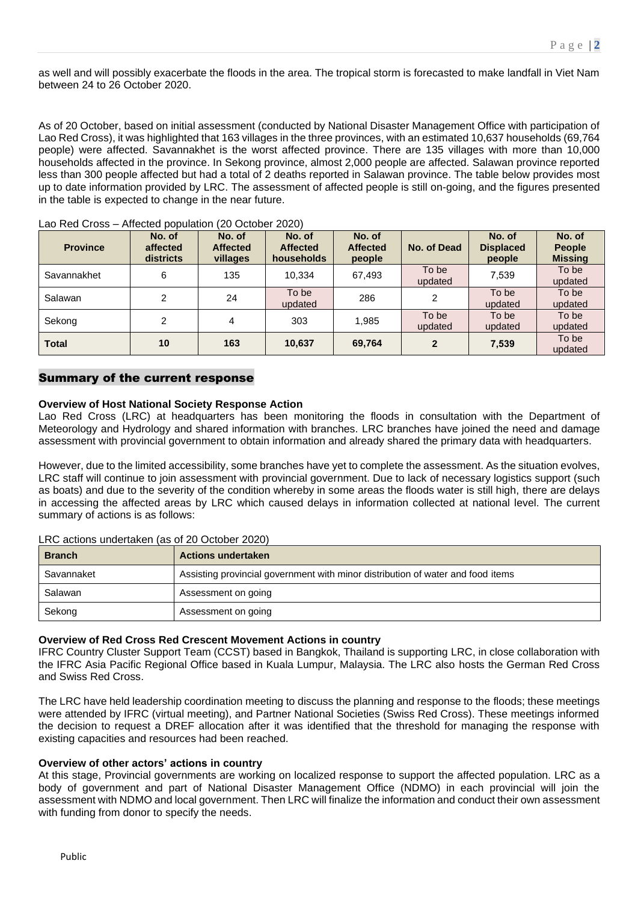as well and will possibly exacerbate the floods in the area. The tropical storm is forecasted to make landfall in Viet Nam between 24 to 26 October 2020.

As of 20 October, based on initial assessment (conducted by National Disaster Management Office with participation of Lao Red Cross), it was highlighted that 163 villages in the three provinces, with an estimated 10,637 households (69,764 people) were affected. Savannakhet is the worst affected province. There are 135 villages with more than 10,000 households affected in the province. In Sekong province, almost 2,000 people are affected. Salawan province reported less than 300 people affected but had a total of 2 deaths reported in Salawan province. The table below provides most up to date information provided by LRC. The assessment of affected people is still on-going, and the figures presented in the table is expected to change in the near future.

| <b>Province</b> | No. of<br>affected<br>districts | No. of<br><b>Affected</b><br>villages | No. of<br><b>Affected</b><br>households | No. of<br><b>Affected</b><br>people | No. of Dead      | No. of<br><b>Displaced</b><br>people | No. of<br><b>People</b><br><b>Missing</b> |
|-----------------|---------------------------------|---------------------------------------|-----------------------------------------|-------------------------------------|------------------|--------------------------------------|-------------------------------------------|
| Savannakhet     | 6                               | 135                                   | 10.334                                  | 67,493                              | To be<br>updated | 7,539                                | To be<br>updated                          |
| Salawan         | 2                               | 24                                    | To be<br>updated                        | 286                                 | 2                | To be<br>updated                     | To be<br>updated                          |
| Sekong          | $\overline{2}$                  | 4                                     | 303                                     | 1,985                               | To be<br>updated | To be<br>updated                     | To be<br>updated                          |
| <b>Total</b>    | 10                              | 163                                   | 10,637                                  | 69,764                              | $\mathbf{2}$     | 7,539                                | To be<br>updated                          |

Lao Red Cross – Affected population (20 October 2020)

#### Summary of the current response

#### **Overview of Host National Society Response Action**

Lao Red Cross (LRC) at headquarters has been monitoring the floods in consultation with the Department of Meteorology and Hydrology and shared information with branches. LRC branches have joined the need and damage assessment with provincial government to obtain information and already shared the primary data with headquarters.

However, due to the limited accessibility, some branches have yet to complete the assessment. As the situation evolves, LRC staff will continue to join assessment with provincial government. Due to lack of necessary logistics support (such as boats) and due to the severity of the condition whereby in some areas the floods water is still high, there are delays in accessing the affected areas by LRC which caused delays in information collected at national level. The current summary of actions is as follows:

LRC actions undertaken (as of 20 October 2020)

| <b>Branch</b> | <b>Actions undertaken</b>                                                       |
|---------------|---------------------------------------------------------------------------------|
| Savannaket    | Assisting provincial government with minor distribution of water and food items |
| Salawan       | Assessment on going                                                             |
| Sekong        | Assessment on going                                                             |

#### **Overview of Red Cross Red Crescent Movement Actions in country**

IFRC Country Cluster Support Team (CCST) based in Bangkok, Thailand is supporting LRC, in close collaboration with the IFRC Asia Pacific Regional Office based in Kuala Lumpur, Malaysia. The LRC also hosts the German Red Cross and Swiss Red Cross.

The LRC have held leadership coordination meeting to discuss the planning and response to the floods; these meetings were attended by IFRC (virtual meeting), and Partner National Societies (Swiss Red Cross). These meetings informed the decision to request a DREF allocation after it was identified that the threshold for managing the response with existing capacities and resources had been reached.

#### **Overview of other actors' actions in country**

At this stage, Provincial governments are working on localized response to support the affected population. LRC as a body of government and part of National Disaster Management Office (NDMO) in each provincial will join the assessment with NDMO and local government. Then LRC will finalize the information and conduct their own assessment with funding from donor to specify the needs.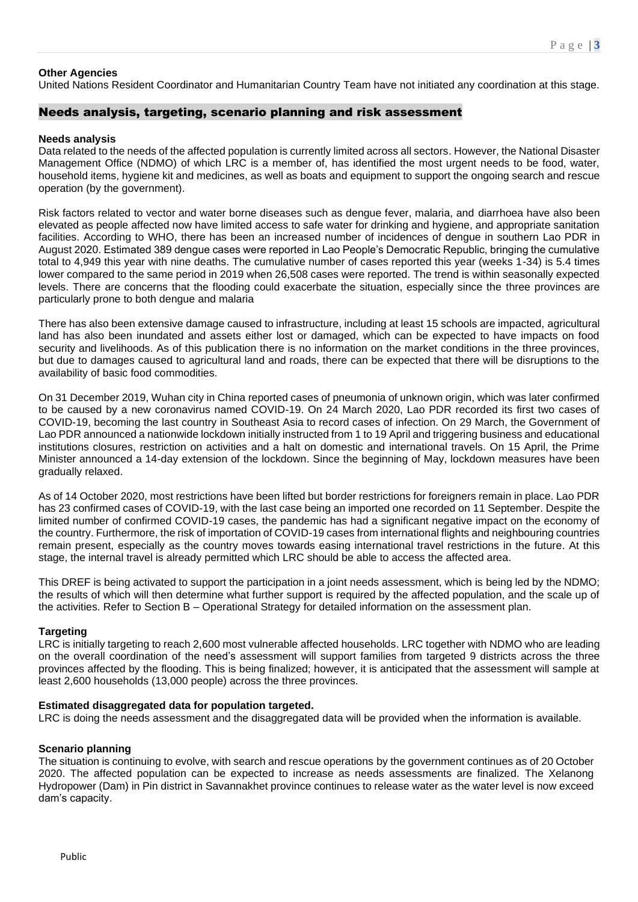#### **Other Agencies**

United Nations Resident Coordinator and Humanitarian Country Team have not initiated any coordination at this stage.

#### Needs analysis, targeting, scenario planning and risk assessment

#### **Needs analysis**

Data related to the needs of the affected population is currently limited across all sectors. However, the National Disaster Management Office (NDMO) of which LRC is a member of, has identified the most urgent needs to be food, water, household items, hygiene kit and medicines, as well as boats and equipment to support the ongoing search and rescue operation (by the government).

Risk factors related to vector and water borne diseases such as dengue fever, malaria, and diarrhoea have also been elevated as people affected now have limited access to safe water for drinking and hygiene, and appropriate sanitation facilities. According to WHO, there has been an increased number of incidences of dengue in southern Lao PDR in August 2020. Estimated 389 dengue cases were reported in Lao People's Democratic Republic, bringing the cumulative total to 4,949 this year with nine deaths. The cumulative number of cases reported this year (weeks 1-34) is 5.4 times lower compared to the same period in 2019 when 26,508 cases were reported. The trend is within seasonally expected levels. There are concerns that the flooding could exacerbate the situation, especially since the three provinces are particularly prone to both dengue and malaria

There has also been extensive damage caused to infrastructure, including at least 15 schools are impacted, agricultural land has also been inundated and assets either lost or damaged, which can be expected to have impacts on food security and livelihoods. As of this publication there is no information on the market conditions in the three provinces, but due to damages caused to agricultural land and roads, there can be expected that there will be disruptions to the availability of basic food commodities.

On 31 December 2019, Wuhan city in China reported cases of pneumonia of unknown origin, which was later confirmed to be caused by a new coronavirus named COVID-19. On 24 March 2020, Lao PDR recorded its first two cases of COVID-19, becoming the last country in Southeast Asia to record cases of infection. On 29 March, the Government of Lao PDR announced a nationwide lockdown initially instructed from 1 to 19 April and triggering business and educational institutions closures, restriction on activities and a halt on domestic and international travels. On 15 April, the Prime Minister announced a 14-day extension of the lockdown. Since the beginning of May, lockdown measures have been gradually relaxed.

As of 14 October 2020, most restrictions have been lifted but border restrictions for foreigners remain in place. Lao PDR has 23 confirmed cases of COVID-19, with the last case being an imported one recorded on 11 September. Despite the limited number of confirmed COVID-19 cases, the pandemic has had a significant negative impact on the economy of the country. Furthermore, the risk of importation of COVID-19 cases from international flights and neighbouring countries remain present, especially as the country moves towards easing international travel restrictions in the future. At this stage, the internal travel is already permitted which LRC should be able to access the affected area.

This DREF is being activated to support the participation in a joint needs assessment, which is being led by the NDMO; the results of which will then determine what further support is required by the affected population, and the scale up of the activities. Refer to Section B – Operational Strategy for detailed information on the assessment plan.

#### **Targeting**

LRC is initially targeting to reach 2,600 most vulnerable affected households. LRC together with NDMO who are leading on the overall coordination of the need's assessment will support families from targeted 9 districts across the three provinces affected by the flooding. This is being finalized; however, it is anticipated that the assessment will sample at least 2,600 households (13,000 people) across the three provinces.

#### **Estimated disaggregated data for population targeted.**

LRC is doing the needs assessment and the disaggregated data will be provided when the information is available.

#### **Scenario planning**

The situation is continuing to evolve, with search and rescue operations by the government continues as of 20 October 2020. The affected population can be expected to increase as needs assessments are finalized. The Xelanong Hydropower (Dam) in Pin district in Savannakhet province continues to release water as the water level is now exceed dam's capacity.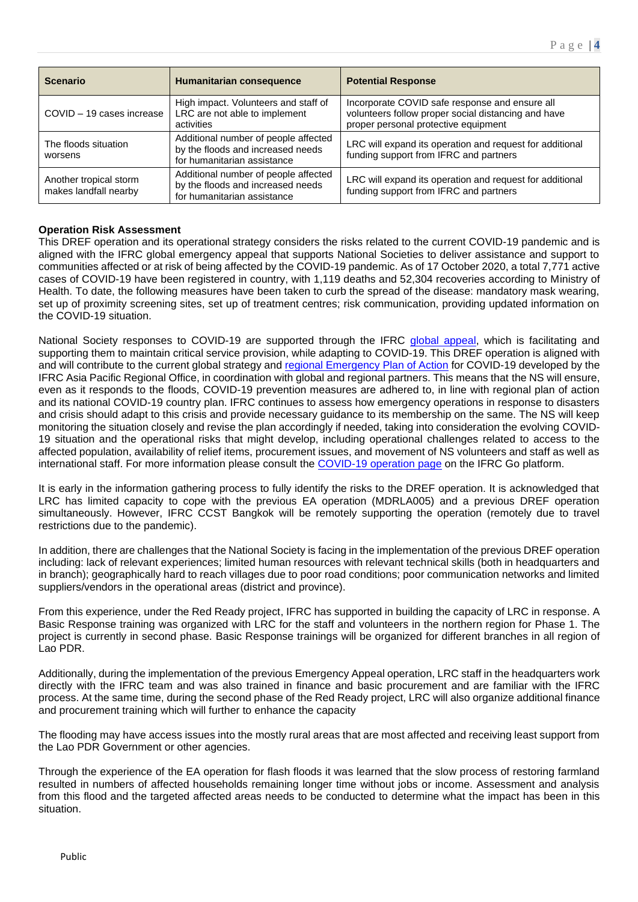| <b>Scenario</b>                                 | Humanitarian consequence                                                                                 | <b>Potential Response</b>                                                                                                                     |
|-------------------------------------------------|----------------------------------------------------------------------------------------------------------|-----------------------------------------------------------------------------------------------------------------------------------------------|
| COVID - 19 cases increase                       | High impact. Volunteers and staff of<br>LRC are not able to implement<br>activities                      | Incorporate COVID safe response and ensure all<br>volunteers follow proper social distancing and have<br>proper personal protective equipment |
| The floods situation<br>worsens                 | Additional number of people affected<br>by the floods and increased needs<br>for humanitarian assistance | LRC will expand its operation and request for additional<br>funding support from IFRC and partners                                            |
| Another tropical storm<br>makes landfall nearby | Additional number of people affected<br>by the floods and increased needs<br>for humanitarian assistance | LRC will expand its operation and request for additional<br>funding support from IFRC and partners                                            |

#### **Operation Risk Assessment**

This DREF operation and its operational strategy considers the risks related to the current COVID-19 pandemic and is aligned with the IFRC global emergency appeal that supports National Societies to deliver assistance and support to communities affected or at risk of being affected by the COVID-19 pandemic. As of 17 October 2020, a total 7,771 active cases of COVID-19 have been registered in country, with 1,119 deaths and 52,304 recoveries according to Ministry of Health. To date, the following measures have been taken to curb the spread of the disease: mandatory mask wearing, set up of proximity screening sites, set up of treatment centres; risk communication, providing updated information on the COVID-19 situation.

National Society responses to COVID-19 are supported through the IFRC [global appeal,](http://adore.ifrc.org/Download.aspx?FileId=344402) which is facilitating and supporting them to maintain critical service provision, while adapting to COVID-19. This DREF operation is aligned with and will contribute to the current global strategy and [regional Emergency Plan of Action](http://adore.ifrc.org/Download.aspx?FileId=326999) for COVID-19 developed by the IFRC Asia Pacific Regional Office, in coordination with global and regional partners. This means that the NS will ensure, even as it responds to the floods, COVID-19 prevention measures are adhered to, in line with regional plan of action and its national COVID-19 country plan. IFRC continues to assess how emergency operations in response to disasters and crisis should adapt to this crisis and provide necessary guidance to its membership on the same. The NS will keep monitoring the situation closely and revise the plan accordingly if needed, taking into consideration the evolving COVID-19 situation and the operational risks that might develop, including operational challenges related to access to the affected population, availability of relief items, procurement issues, and movement of NS volunteers and staff as well as international staff. For more information please consult the COVID-19 [operation page](https://go.ifrc.org/emergencies/3972#details) on the IFRC Go platform.

It is early in the information gathering process to fully identify the risks to the DREF operation. It is acknowledged that LRC has limited capacity to cope with the previous EA operation (MDRLA005) and a previous DREF operation simultaneously. However, IFRC CCST Bangkok will be remotely supporting the operation (remotely due to travel restrictions due to the pandemic).

In addition, there are challenges that the National Society is facing in the implementation of the previous DREF operation including: lack of relevant experiences; limited human resources with relevant technical skills (both in headquarters and in branch); geographically hard to reach villages due to poor road conditions; poor communication networks and limited suppliers/vendors in the operational areas (district and province).

From this experience, under the Red Ready project, IFRC has supported in building the capacity of LRC in response. A Basic Response training was organized with LRC for the staff and volunteers in the northern region for Phase 1. The project is currently in second phase. Basic Response trainings will be organized for different branches in all region of Lao PDR.

Additionally, during the implementation of the previous Emergency Appeal operation, LRC staff in the headquarters work directly with the IFRC team and was also trained in finance and basic procurement and are familiar with the IFRC process. At the same time, during the second phase of the Red Ready project, LRC will also organize additional finance and procurement training which will further to enhance the capacity

The flooding may have access issues into the mostly rural areas that are most affected and receiving least support from the Lao PDR Government or other agencies.

Through the experience of the EA operation for flash floods it was learned that the slow process of restoring farmland resulted in numbers of affected households remaining longer time without jobs or income. Assessment and analysis from this flood and the targeted affected areas needs to be conducted to determine what the impact has been in this situation.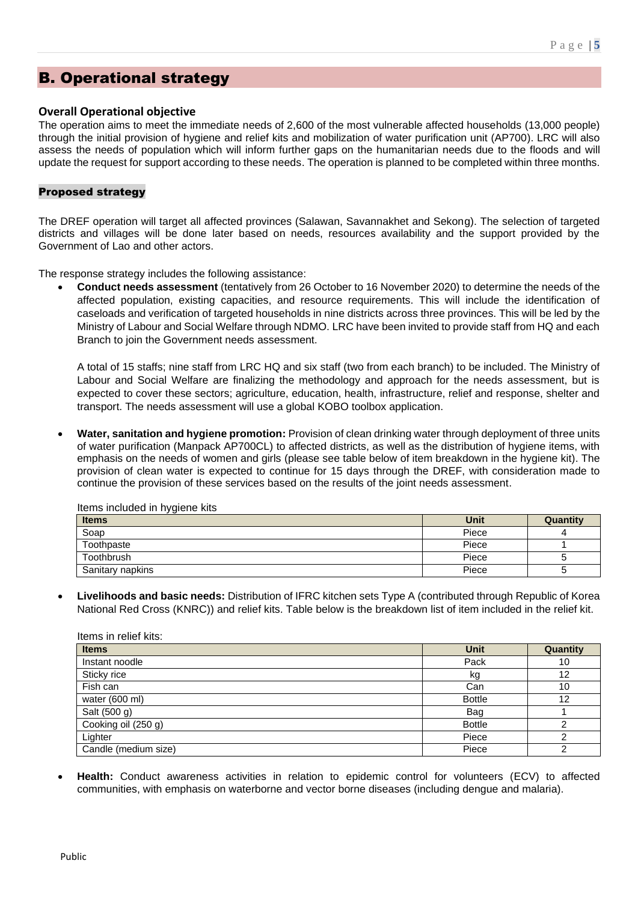### B. Operational strategy

#### **Overall Operational objective**

The operation aims to meet the immediate needs of 2,600 of the most vulnerable affected households (13,000 people) through the initial provision of hygiene and relief kits and mobilization of water purification unit (AP700). LRC will also assess the needs of population which will inform further gaps on the humanitarian needs due to the floods and will update the request for support according to these needs. The operation is planned to be completed within three months.

#### Proposed strategy

The DREF operation will target all affected provinces (Salawan, Savannakhet and Sekong). The selection of targeted districts and villages will be done later based on needs, resources availability and the support provided by the Government of Lao and other actors.

The response strategy includes the following assistance:

• **Conduct needs assessment** (tentatively from 26 October to 16 November 2020) to determine the needs of the affected population, existing capacities, and resource requirements. This will include the identification of caseloads and verification of targeted households in nine districts across three provinces. This will be led by the Ministry of Labour and Social Welfare through NDMO. LRC have been invited to provide staff from HQ and each Branch to join the Government needs assessment.

A total of 15 staffs; nine staff from LRC HQ and six staff (two from each branch) to be included. The Ministry of Labour and Social Welfare are finalizing the methodology and approach for the needs assessment, but is expected to cover these sectors; agriculture, education, health, infrastructure, relief and response, shelter and transport. The needs assessment will use a global KOBO toolbox application.

• **Water, sanitation and hygiene promotion:** Provision of clean drinking water through deployment of three units of water purification (Manpack AP700CL) to affected districts, as well as the distribution of hygiene items, with emphasis on the needs of women and girls (please see table below of item breakdown in the hygiene kit). The provision of clean water is expected to continue for 15 days through the DREF, with consideration made to continue the provision of these services based on the results of the joint needs assessment.

| <b>Items</b>     | Unit  | <b>Quantity</b> |
|------------------|-------|-----------------|
| Soap             | Piece |                 |
| Toothpaste       | Piece |                 |
| Toothbrush       | Piece |                 |
| Sanitary napkins | Piece |                 |

Items included in hygiene kits

• **Livelihoods and basic needs:** Distribution of IFRC kitchen sets Type A (contributed through Republic of Korea National Red Cross (KNRC)) and relief kits. Table below is the breakdown list of item included in the relief kit.

| Items in relief kits: |               |                   |
|-----------------------|---------------|-------------------|
| <b>Items</b>          | <b>Unit</b>   | Quantity          |
| Instant noodle        | Pack          | 10                |
| Sticky rice           | kg            | $12 \overline{ }$ |
| Fish can              | Can           | 10                |
| water (600 ml)        | <b>Bottle</b> | 12                |
| Salt (500 g)          | Bag           |                   |
| Cooking oil (250 g)   | <b>Bottle</b> |                   |
| Lighter               | Piece         |                   |
| Candle (medium size)  | Piece         |                   |

• **Health:** Conduct awareness activities in relation to epidemic control for volunteers (ECV) to affected communities, with emphasis on waterborne and vector borne diseases (including dengue and malaria).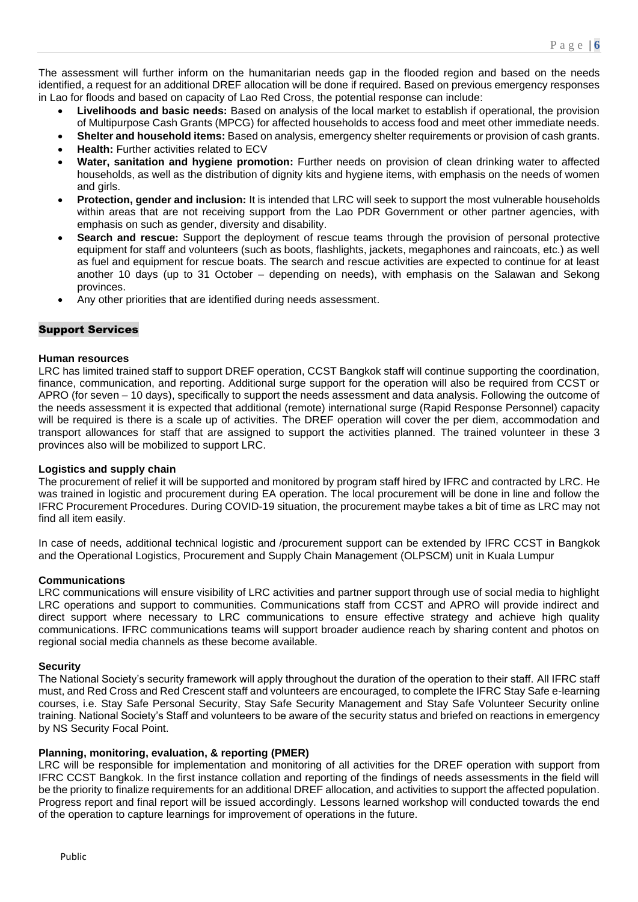The assessment will further inform on the humanitarian needs gap in the flooded region and based on the needs identified, a request for an additional DREF allocation will be done if required. Based on previous emergency responses in Lao for floods and based on capacity of Lao Red Cross, the potential response can include:

- **Livelihoods and basic needs:** Based on analysis of the local market to establish if operational, the provision of Multipurpose Cash Grants (MPCG) for affected households to access food and meet other immediate needs.
- **Shelter and household items:** Based on analysis, emergency shelter requirements or provision of cash grants.
- **Health:** Further activities related to ECV
- **Water, sanitation and hygiene promotion:** Further needs on provision of clean drinking water to affected households, as well as the distribution of dignity kits and hygiene items, with emphasis on the needs of women and girls.
- **Protection, gender and inclusion:** It is intended that LRC will seek to support the most vulnerable households within areas that are not receiving support from the Lao PDR Government or other partner agencies, with emphasis on such as gender, diversity and disability.
- **Search and rescue:** Support the deployment of rescue teams through the provision of personal protective equipment for staff and volunteers (such as boots, flashlights, jackets, megaphones and raincoats, etc.) as well as fuel and equipment for rescue boats. The search and rescue activities are expected to continue for at least another 10 days (up to 31 October – depending on needs), with emphasis on the Salawan and Sekong provinces.
- Any other priorities that are identified during needs assessment.

#### Support Services

#### **Human resources**

LRC has limited trained staff to support DREF operation, CCST Bangkok staff will continue supporting the coordination, finance, communication, and reporting. Additional surge support for the operation will also be required from CCST or APRO (for seven – 10 days), specifically to support the needs assessment and data analysis. Following the outcome of the needs assessment it is expected that additional (remote) international surge (Rapid Response Personnel) capacity will be required is there is a scale up of activities. The DREF operation will cover the per diem, accommodation and transport allowances for staff that are assigned to support the activities planned. The trained volunteer in these 3 provinces also will be mobilized to support LRC.

#### **Logistics and supply chain**

The procurement of relief it will be supported and monitored by program staff hired by IFRC and contracted by LRC. He was trained in logistic and procurement during EA operation. The local procurement will be done in line and follow the IFRC Procurement Procedures. During COVID-19 situation, the procurement maybe takes a bit of time as LRC may not find all item easily.

In case of needs, additional technical logistic and /procurement support can be extended by IFRC CCST in Bangkok and the Operational Logistics, Procurement and Supply Chain Management (OLPSCM) unit in Kuala Lumpur

#### **Communications**

LRC communications will ensure visibility of LRC activities and partner support through use of social media to highlight LRC operations and support to communities. Communications staff from CCST and APRO will provide indirect and direct support where necessary to LRC communications to ensure effective strategy and achieve high quality communications. IFRC communications teams will support broader audience reach by sharing content and photos on regional social media channels as these become available.

#### **Security**

The National Society's security framework will apply throughout the duration of the operation to their staff. All IFRC staff must, and Red Cross and Red Crescent staff and volunteers are encouraged, to complete the IFRC Stay Safe e-learning courses, i.e. Stay Safe Personal Security, Stay Safe Security Management and Stay Safe Volunteer Security online training. National Society's Staff and volunteers to be aware of the security status and briefed on reactions in emergency by NS Security Focal Point.

#### **Planning, monitoring, evaluation, & reporting (PMER)**

LRC will be responsible for implementation and monitoring of all activities for the DREF operation with support from IFRC CCST Bangkok. In the first instance collation and reporting of the findings of needs assessments in the field will be the priority to finalize requirements for an additional DREF allocation, and activities to support the affected population. Progress report and final report will be issued accordingly. Lessons learned workshop will conducted towards the end of the operation to capture learnings for improvement of operations in the future.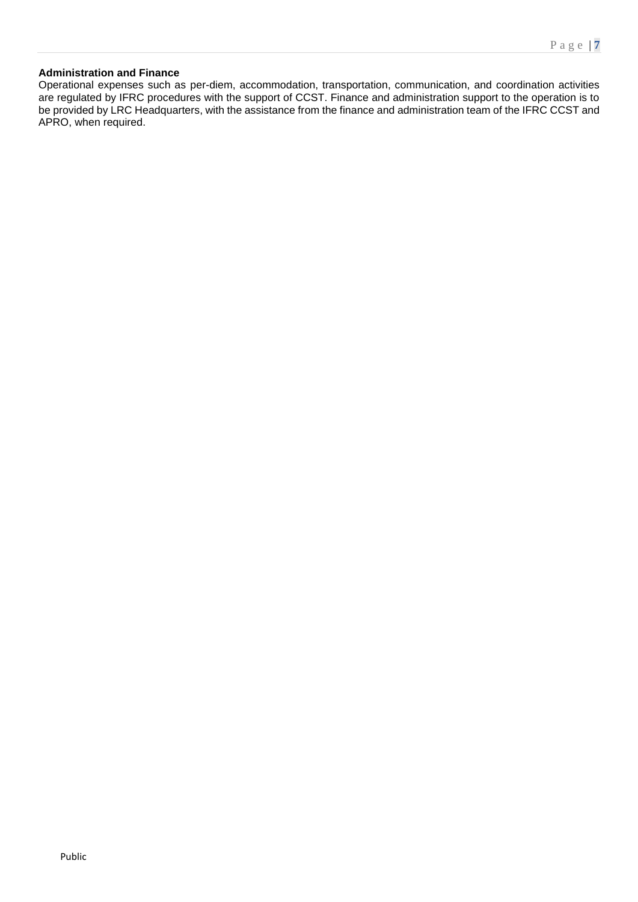#### **Administration and Finance**

Operational expenses such as per-diem, accommodation, transportation, communication, and coordination activities are regulated by IFRC procedures with the support of CCST. Finance and administration support to the operation is to be provided by LRC Headquarters, with the assistance from the finance and administration team of the IFRC CCST and APRO, when required.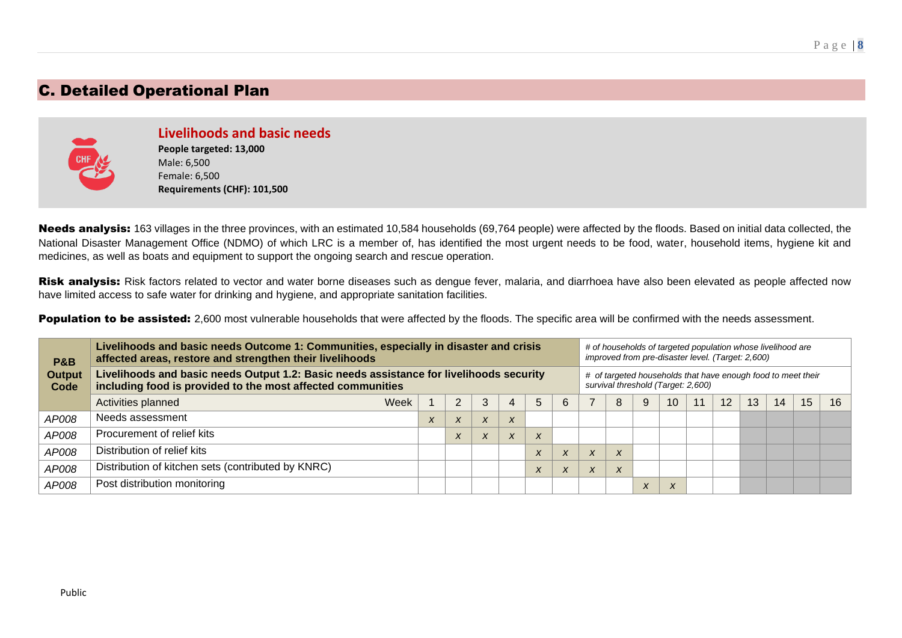### C. Detailed Operational Plan



**Livelihoods and basic needs People targeted: 13,000** Male: 6,500 Female: 6,500 **Requirements (CHF): 101,500**

Needs analysis: 163 villages in the three provinces, with an estimated 10,584 households (69,764 people) were affected by the floods. Based on initial data collected, the National Disaster Management Office (NDMO) of which LRC is a member of, has identified the most urgent needs to be food, water, household items, hygiene kit and medicines, as well as boats and equipment to support the ongoing search and rescue operation.

Risk analysis: Risk factors related to vector and water borne diseases such as dengue fever, malaria, and diarrhoea have also been elevated as people affected now have limited access to safe water for drinking and hygiene, and appropriate sanitation facilities.

Population to be assisted: 2,600 most vulnerable households that were affected by the floods. The specific area will be confirmed with the needs assessment.

| <b>P&amp;B</b>        | Livelihoods and basic needs Outcome 1: Communities, especially in disaster and crisis<br>affected areas, restore and strengthen their livelihoods      |      |                  |                           |                           |                  |                  |                  |                                                                                                    |                  |   |    |    | # of households of targeted population whose livelihood are<br>improved from pre-disaster level. (Target: 2,600) |    |    |    |    |  |
|-----------------------|--------------------------------------------------------------------------------------------------------------------------------------------------------|------|------------------|---------------------------|---------------------------|------------------|------------------|------------------|----------------------------------------------------------------------------------------------------|------------------|---|----|----|------------------------------------------------------------------------------------------------------------------|----|----|----|----|--|
| <b>Output</b><br>Code | Livelihoods and basic needs Output 1.2: Basic needs assistance for livelihoods security<br>including food is provided to the most affected communities |      |                  |                           |                           |                  |                  |                  | # of targeted households that have enough food to meet their<br>survival threshold (Target: 2,600) |                  |   |    |    |                                                                                                                  |    |    |    |    |  |
|                       | Activities planned                                                                                                                                     | Week |                  | 2                         | 3                         | 4                | 5                | 6                |                                                                                                    | 8                | 9 | 10 | 11 | 12                                                                                                               | 13 | 14 | 15 | 16 |  |
| AP008                 | Needs assessment                                                                                                                                       |      | $\boldsymbol{x}$ | $\boldsymbol{\mathsf{x}}$ | $\boldsymbol{\mathsf{x}}$ | $\boldsymbol{X}$ |                  |                  |                                                                                                    |                  |   |    |    |                                                                                                                  |    |    |    |    |  |
| AP008                 | Procurement of relief kits                                                                                                                             |      |                  | $\boldsymbol{\lambda}$    | X                         | $\boldsymbol{X}$ | $\boldsymbol{x}$ |                  |                                                                                                    |                  |   |    |    |                                                                                                                  |    |    |    |    |  |
| AP008                 | Distribution of relief kits                                                                                                                            |      |                  |                           |                           |                  | $\boldsymbol{X}$ | $\boldsymbol{X}$ | $\lambda$                                                                                          | X                |   |    |    |                                                                                                                  |    |    |    |    |  |
| AP008                 | Distribution of kitchen sets (contributed by KNRC)                                                                                                     |      |                  |                           |                           |                  | $\boldsymbol{X}$ | $\boldsymbol{X}$ | $\mathbf{v}$<br>$\lambda$                                                                          | $\boldsymbol{x}$ |   |    |    |                                                                                                                  |    |    |    |    |  |
| AP008                 | Post distribution monitoring                                                                                                                           |      |                  |                           |                           |                  |                  |                  |                                                                                                    |                  |   | X  |    |                                                                                                                  |    |    |    |    |  |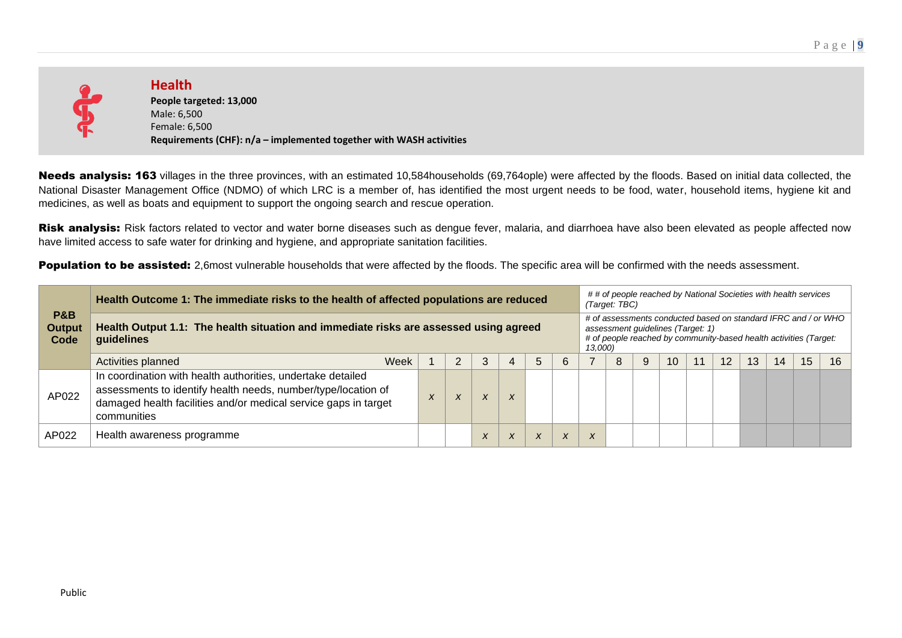

**Health People targeted: 13,000** Male: 6,500 Female: 6,500 **Requirements (CHF): n/a – implemented together with WASH activities**

Needs analysis: 163 villages in the three provinces, with an estimated 10,584households (69,764ople) were affected by the floods. Based on initial data collected, the National Disaster Management Office (NDMO) of which LRC is a member of, has identified the most urgent needs to be food, water, household items, hygiene kit and medicines, as well as boats and equipment to support the ongoing search and rescue operation.

Risk analysis: Risk factors related to vector and water borne diseases such as dengue fever, malaria, and diarrhoea have also been elevated as people affected now have limited access to safe water for drinking and hygiene, and appropriate sanitation facilities.

Population to be assisted: 2,6most vulnerable households that were affected by the floods. The specific area will be confirmed with the needs assessment.

|                                         | Health Outcome 1: The immediate risks to the health of affected populations are reduced                                                                                                                        |                  |   |                  |                  |           |           |         | (Target: TBC)                     |   |    |    |    | ## of people reached by National Societies with health services                                                                     |    |    |
|-----------------------------------------|----------------------------------------------------------------------------------------------------------------------------------------------------------------------------------------------------------------|------------------|---|------------------|------------------|-----------|-----------|---------|-----------------------------------|---|----|----|----|-------------------------------------------------------------------------------------------------------------------------------------|----|----|
| <b>P&amp;B</b><br><b>Output</b><br>Code | Health Output 1.1: The health situation and immediate risks are assessed using agreed<br>guidelines                                                                                                            |                  |   |                  |                  |           |           | 13,000) | assessment guidelines (Target: 1) |   |    |    |    | # of assessments conducted based on standard IFRC and / or WHO<br># of people reached by community-based health activities (Target: |    |    |
|                                         | Week<br>Activities planned                                                                                                                                                                                     |                  |   | 3                | 4                | 5         | 6         |         | 8                                 | 9 | 10 | 12 | 13 | 14                                                                                                                                  | 15 | 16 |
| AP022                                   | In coordination with health authorities, undertake detailed<br>assessments to identify health needs, number/type/location of<br>damaged health facilities and/or medical service gaps in target<br>communities | $\boldsymbol{x}$ | X | $\boldsymbol{x}$ | $\boldsymbol{X}$ |           |           |         |                                   |   |    |    |    |                                                                                                                                     |    |    |
| AP022                                   | Health awareness programme                                                                                                                                                                                     |                  |   | X                | $\boldsymbol{X}$ | $\lambda$ | $\lambda$ |         |                                   |   |    |    |    |                                                                                                                                     |    |    |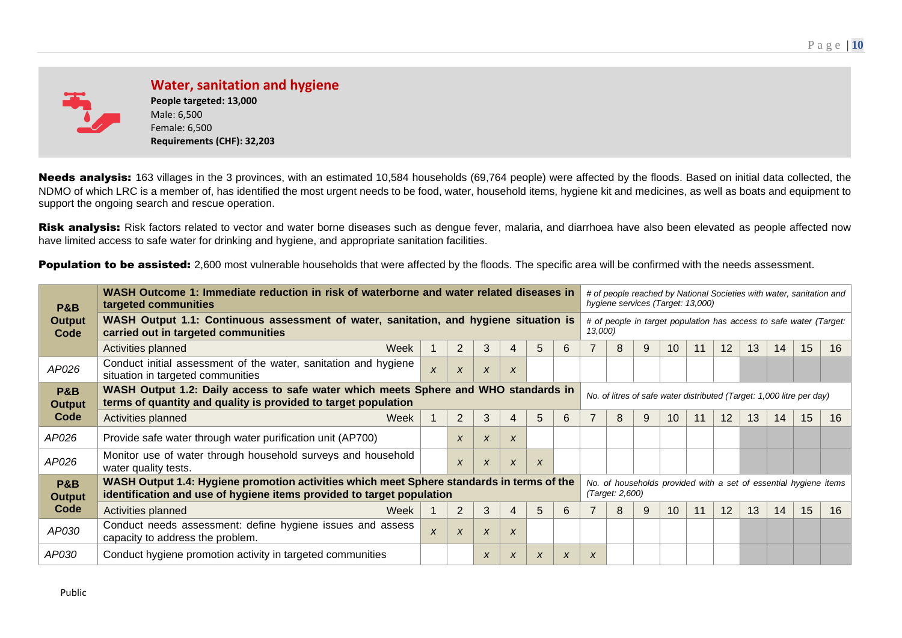

**Water, sanitation and hygiene People targeted: 13,000** Male: 6,500 Female: 6,500 **Requirements (CHF): 32,203**

Needs analysis: 163 villages in the 3 provinces, with an estimated 10,584 households (69,764 people) were affected by the floods. Based on initial data collected, the NDMO of which LRC is a member of, has identified the most urgent needs to be food, water, household items, hygiene kit and medicines, as well as boats and equipment to support the ongoing search and rescue operation.

Risk analysis: Risk factors related to vector and water borne diseases such as dengue fever, malaria, and diarrhoea have also been elevated as people affected now have limited access to safe water for drinking and hygiene, and appropriate sanitation facilities.

Population to be assisted: 2,600 most vulnerable households that were affected by the floods. The specific area will be confirmed with the needs assessment.

| <b>P&amp;B</b>                  | WASH Outcome 1: Immediate reduction in risk of waterborne and water related diseases in<br>targeted communities                                                    |                  |                           |                  |                           |    |             |         |                 | hygiene services (Target: 13,000)                                     |                 |    |    |    |    |    | # of people reached by National Societies with water, sanitation and |
|---------------------------------|--------------------------------------------------------------------------------------------------------------------------------------------------------------------|------------------|---------------------------|------------------|---------------------------|----|-------------|---------|-----------------|-----------------------------------------------------------------------|-----------------|----|----|----|----|----|----------------------------------------------------------------------|
| <b>Output</b><br>Code           | WASH Output 1.1: Continuous assessment of water, sanitation, and hygiene situation is<br>carried out in targeted communities                                       |                  |                           |                  |                           |    |             | 13,000) |                 |                                                                       |                 |    |    |    |    |    | # of people in target population has access to safe water (Target:   |
|                                 | Activities planned<br>Week                                                                                                                                         |                  | $\overline{2}$            | 3                | 4                         | 5  | $6^{\circ}$ |         | 8               | 9                                                                     | 10 <sup>°</sup> | 11 | 12 | 13 | 14 | 15 | 16                                                                   |
| AP026                           | Conduct initial assessment of the water, sanitation and hygiene<br>situation in targeted communities                                                               | $\boldsymbol{x}$ | $\boldsymbol{\mathsf{x}}$ | X                | X                         |    |             |         |                 |                                                                       |                 |    |    |    |    |    |                                                                      |
| <b>P&amp;B</b><br><b>Output</b> | WASH Output 1.2: Daily access to safe water which meets Sphere and WHO standards in<br>terms of quantity and quality is provided to target population              |                  |                           |                  |                           |    |             |         |                 | No. of litres of safe water distributed (Target: 1,000 litre per day) |                 |    |    |    |    |    |                                                                      |
| Code                            | Activities planned<br>Week                                                                                                                                         |                  | 2                         | 3                | 4                         | 5. | 6           |         | 8               |                                                                       | 10              |    | 12 | 13 | 14 | 15 | 16                                                                   |
| AP026                           | Provide safe water through water purification unit (AP700)                                                                                                         |                  | X                         | $\boldsymbol{x}$ | X                         |    |             |         |                 |                                                                       |                 |    |    |    |    |    |                                                                      |
| AP026                           | Monitor use of water through household surveys and household<br>water quality tests.                                                                               |                  | X                         | $\boldsymbol{x}$ | $\boldsymbol{X}$          | X  |             |         |                 |                                                                       |                 |    |    |    |    |    |                                                                      |
| <b>P&amp;B</b><br><b>Output</b> | WASH Output 1.4: Hygiene promotion activities which meet Sphere standards in terms of the<br>identification and use of hygiene items provided to target population |                  |                           |                  |                           |    |             |         | (Target: 2,600) |                                                                       |                 |    |    |    |    |    | No. of households provided with a set of essential hygiene items     |
| Code                            | Week<br>Activities planned                                                                                                                                         |                  | 2                         | 3                | 4                         | 5. | 6           |         | 8               | 9                                                                     | 10 <sup>°</sup> | 11 | 12 | 13 | 14 | 15 | 16                                                                   |
| AP030                           | Conduct needs assessment: define hygiene issues and assess<br>capacity to address the problem.                                                                     | $\boldsymbol{x}$ | $\boldsymbol{\mathsf{x}}$ | $\boldsymbol{X}$ | $\boldsymbol{\mathsf{x}}$ |    |             |         |                 |                                                                       |                 |    |    |    |    |    |                                                                      |
| <i>AP030</i>                    | Conduct hygiene promotion activity in targeted communities                                                                                                         |                  |                           | $\boldsymbol{x}$ | X                         | X  | X           | X       |                 |                                                                       |                 |    |    |    |    |    |                                                                      |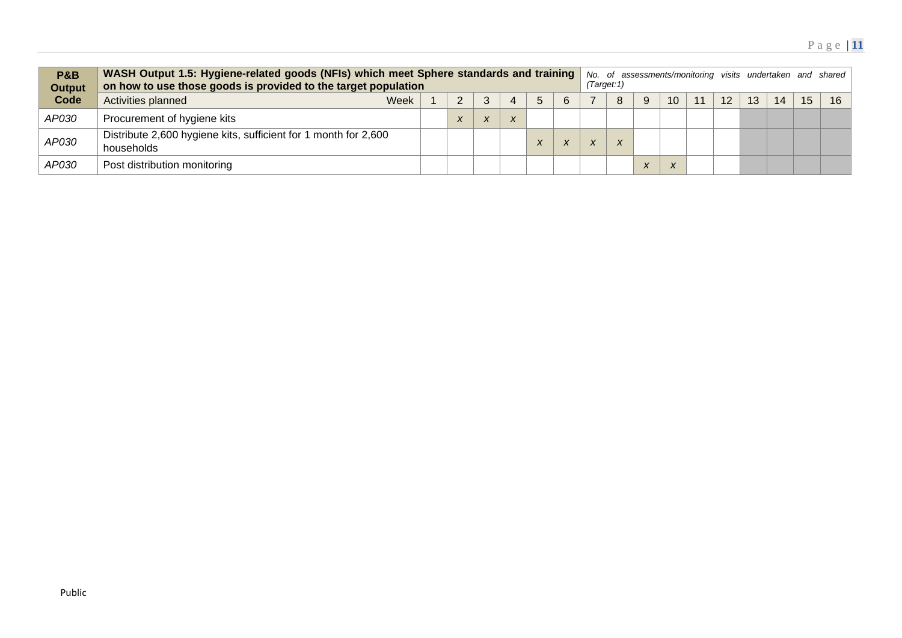| <b>P&amp;B</b><br><b>Output</b> | WASH Output 1.5: Hygiene-related goods (NFIs) which meet Sphere standards and training<br>on how to use those goods is provided to the target population |      |           |                |  |   | (Target:1) |   |   |    |    |                 |                 |    |                 | No. of assessments/monitoring visits undertaken and shared |
|---------------------------------|----------------------------------------------------------------------------------------------------------------------------------------------------------|------|-----------|----------------|--|---|------------|---|---|----|----|-----------------|-----------------|----|-----------------|------------------------------------------------------------|
| Code                            | Activities planned                                                                                                                                       | Week |           | ാ              |  | 6 |            | 8 | 9 | 10 | 11 | 12 <sup>°</sup> | 13 <sup>°</sup> | 14 | 15 <sup>2</sup> | 16                                                         |
| AP030                           | Procurement of hygiene kits                                                                                                                              |      | $\lambda$ | $\overline{ }$ |  |   |            |   |   |    |    |                 |                 |    |                 |                                                            |
| AP030                           | Distribute 2,600 hygiene kits, sufficient for 1 month for 2,600<br>households                                                                            |      |           |                |  |   |            | X |   |    |    |                 |                 |    |                 |                                                            |
| AP030                           | Post distribution monitoring                                                                                                                             |      |           |                |  |   |            |   |   |    |    |                 |                 |    |                 |                                                            |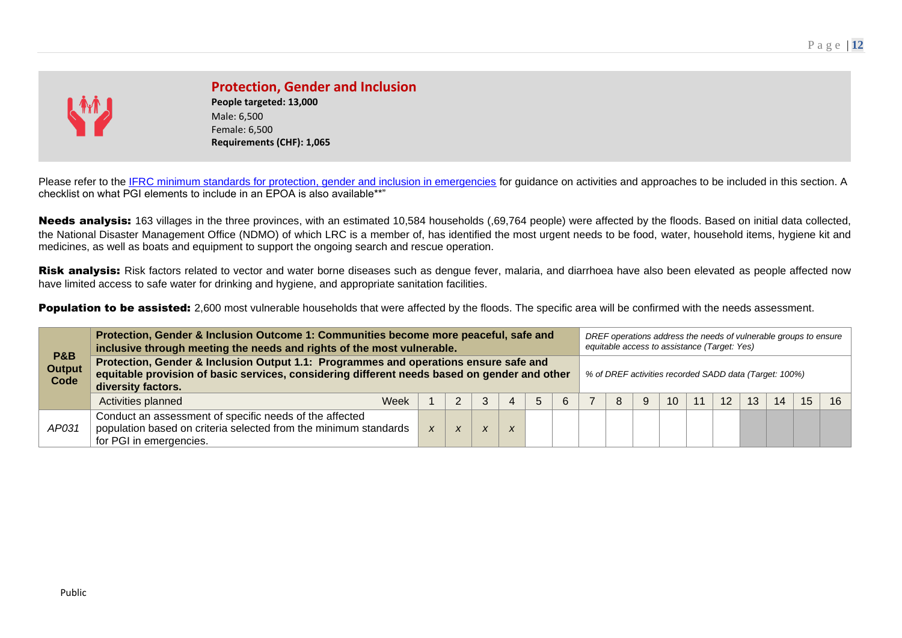

### **Protection, Gender and Inclusion**

**People targeted: 13,000** Male: 6,500 Female: 6,500 **Requirements (CHF): 1,065**

Please refer to the [IFRC minimum standards for protection, gender and inclusion in emergencies](https://media.ifrc.org/ifrc/document/minimum-standards-protection-gender-inclusion-emergencies/) for guidance on activities and approaches to be included in this section. A checklist on what PGI elements to include in an EPOA is also available\*\*"

Needs analysis: 163 villages in the three provinces, with an estimated 10,584 households (,69,764 people) were affected by the floods. Based on initial data collected, the National Disaster Management Office (NDMO) of which LRC is a member of, has identified the most urgent needs to be food, water, household items, hygiene kit and medicines, as well as boats and equipment to support the ongoing search and rescue operation.

Risk analysis: Risk factors related to vector and water borne diseases such as dengue fever, malaria, and diarrhoea have also been elevated as people affected now have limited access to safe water for drinking and hygiene, and appropriate sanitation facilities.

Population to be assisted: 2,600 most vulnerable households that were affected by the floods. The specific area will be confirmed with the needs assessment.

|                                         | Protection, Gender & Inclusion Outcome 1: Communities become more peaceful, safe and<br>inclusive through meeting the needs and rights of the most vulnerable.                                             |                  |                  |                           |                  |   |   |   |    | DREF operations address the needs of vulnerable groups to ensure<br>equitable access to assistance (Target: Yes) |    |    |    |
|-----------------------------------------|------------------------------------------------------------------------------------------------------------------------------------------------------------------------------------------------------------|------------------|------------------|---------------------------|------------------|---|---|---|----|------------------------------------------------------------------------------------------------------------------|----|----|----|
| <b>P&amp;B</b><br><b>Output</b><br>Code | Protection, Gender & Inclusion Output 1.1: Programmes and operations ensure safe and<br>equitable provision of basic services, considering different needs based on gender and other<br>diversity factors. |                  |                  |                           |                  |   |   |   |    | % of DREF activities recorded SADD data (Target: 100%)                                                           |    |    |    |
|                                         | Activities planned<br>Week                                                                                                                                                                                 |                  |                  | 3                         |                  | 6 | 8 | 9 | 10 | 12                                                                                                               | 14 | 15 | 16 |
| AP031                                   | Conduct an assessment of specific needs of the affected<br>population based on criteria selected from the minimum standards<br>for PGI in emergencies.                                                     | $\boldsymbol{x}$ | $\boldsymbol{X}$ | $\boldsymbol{\mathsf{x}}$ | $\boldsymbol{X}$ |   |   |   |    |                                                                                                                  |    |    |    |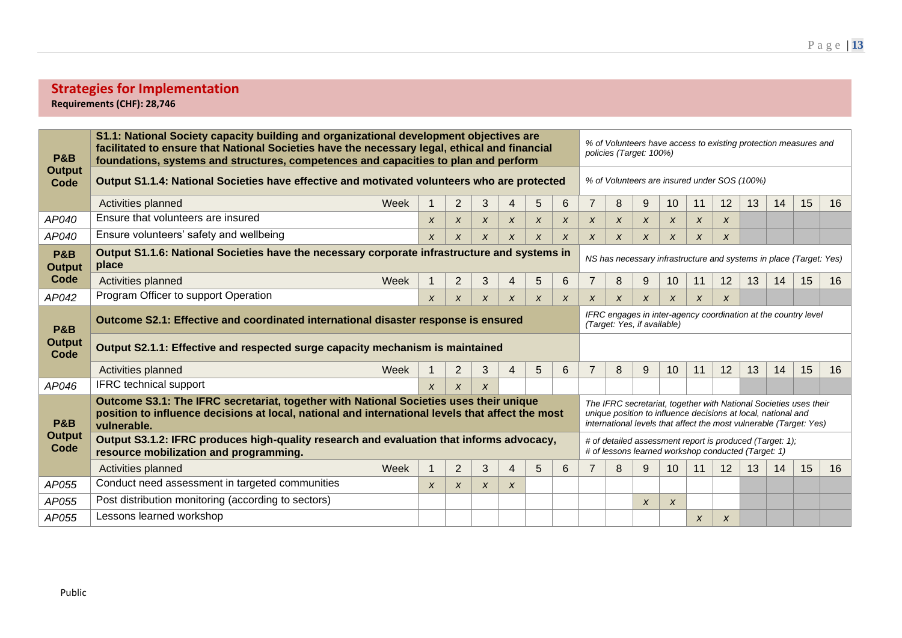### **Strategies for Implementation Requirements (CHF): 28,746**

| <b>P&amp;B</b>                  | S1.1: National Society capacity building and organizational development objectives are<br>facilitated to ensure that National Societies have the necessary legal, ethical and financial<br>foundations, systems and structures, competences and capacities to plan and perform |                  |                           |                  |                  |                  |                  |                  |                  | policies (Target: 100%)                                       |                           |                  |    |    |    | % of Volunteers have access to existing protection measures and                                                                         |    |
|---------------------------------|--------------------------------------------------------------------------------------------------------------------------------------------------------------------------------------------------------------------------------------------------------------------------------|------------------|---------------------------|------------------|------------------|------------------|------------------|------------------|------------------|---------------------------------------------------------------|---------------------------|------------------|----|----|----|-----------------------------------------------------------------------------------------------------------------------------------------|----|
| <b>Output</b><br>Code           | Output S1.1.4: National Societies have effective and motivated volunteers who are protected                                                                                                                                                                                    |                  |                           |                  |                  |                  |                  |                  |                  | % of Volunteers are insured under SOS (100%)                  |                           |                  |    |    |    |                                                                                                                                         |    |
|                                 | Week<br>Activities planned                                                                                                                                                                                                                                                     |                  | $\overline{2}$            | 3                | $\overline{4}$   | 5                | 6                | $\overline{7}$   | 8                | 9                                                             | 10                        | 11               | 12 | 13 | 14 | 15                                                                                                                                      | 16 |
| AP040                           | Ensure that volunteers are insured                                                                                                                                                                                                                                             | X                | $\boldsymbol{x}$          | $\boldsymbol{x}$ | X                | X                | X                | X                | $\boldsymbol{x}$ | x                                                             | $\boldsymbol{x}$          | $\boldsymbol{x}$ | X  |    |    |                                                                                                                                         |    |
| AP040                           | Ensure volunteers' safety and wellbeing                                                                                                                                                                                                                                        | $\boldsymbol{x}$ | X                         | X                | $\boldsymbol{x}$ | X                | X                | X                | $\boldsymbol{x}$ | X                                                             | $\boldsymbol{x}$          | X                | X  |    |    |                                                                                                                                         |    |
| <b>P&amp;B</b><br><b>Output</b> | Output S1.1.6: National Societies have the necessary corporate infrastructure and systems in<br>NS has necessary infrastructure and systems in place (Target: Yes)<br>place                                                                                                    |                  |                           |                  |                  |                  |                  |                  |                  |                                                               |                           |                  |    |    |    |                                                                                                                                         |    |
| Code                            | Activities planned<br>Week                                                                                                                                                                                                                                                     | -1               | $\overline{2}$            | 3                | $\overline{4}$   | 5                | 6                | $\overline{7}$   | 8                | 9                                                             | 10                        | 11               | 12 | 13 | 14 | 15                                                                                                                                      | 16 |
| AP042                           | Program Officer to support Operation                                                                                                                                                                                                                                           | $\pmb{\chi}$     | $\boldsymbol{x}$          | $\boldsymbol{x}$ | $\boldsymbol{x}$ | $\boldsymbol{x}$ | $\boldsymbol{x}$ | $\boldsymbol{x}$ | X                | X                                                             | $\boldsymbol{x}$          | X                | X  |    |    |                                                                                                                                         |    |
| <b>P&amp;B</b>                  | Outcome S2.1: Effective and coordinated international disaster response is ensured                                                                                                                                                                                             |                  |                           |                  |                  |                  |                  |                  |                  | (Target: Yes, if available)                                   |                           |                  |    |    |    | IFRC engages in inter-agency coordination at the country level                                                                          |    |
| <b>Output</b><br>Code           | Output S2.1.1: Effective and respected surge capacity mechanism is maintained                                                                                                                                                                                                  |                  |                           |                  |                  |                  |                  |                  |                  |                                                               |                           |                  |    |    |    |                                                                                                                                         |    |
|                                 | Activities planned<br>Week                                                                                                                                                                                                                                                     |                  | $\overline{2}$            | 3                | 4                | 5                | 6                |                  | 8                | 9                                                             | 10                        | 11               | 12 | 13 | 14 | 15                                                                                                                                      | 16 |
| AP046                           | <b>IFRC</b> technical support                                                                                                                                                                                                                                                  | $\boldsymbol{x}$ | X                         | X                |                  |                  |                  |                  |                  |                                                               |                           |                  |    |    |    |                                                                                                                                         |    |
| <b>P&amp;B</b>                  | Outcome S3.1: The IFRC secretariat, together with National Societies uses their unique<br>position to influence decisions at local, national and international levels that affect the most<br>vulnerable.                                                                      |                  |                           |                  |                  |                  |                  |                  |                  | unique position to influence decisions at local, national and |                           |                  |    |    |    | The IFRC secretariat, together with National Societies uses their<br>international levels that affect the most vulnerable (Target: Yes) |    |
| <b>Output</b><br>Code           | Output S3.1.2: IFRC produces high-quality research and evaluation that informs advocacy,<br># of detailed assessment report is produced (Target: 1);<br># of lessons learned workshop conducted (Target: 1)<br>resource mobilization and programming.                          |                  |                           |                  |                  |                  |                  |                  |                  |                                                               |                           |                  |    |    |    |                                                                                                                                         |    |
|                                 | Week<br>Activities planned                                                                                                                                                                                                                                                     | $\overline{1}$   | 2                         | 3                | $\overline{4}$   | 5                | 6                |                  | 8                | 9                                                             | 10                        | 11               | 12 | 13 | 14 | 15                                                                                                                                      | 16 |
| AP055                           | Conduct need assessment in targeted communities                                                                                                                                                                                                                                | X                | $\boldsymbol{\mathsf{x}}$ | $\boldsymbol{x}$ | X                |                  |                  |                  |                  |                                                               |                           |                  |    |    |    |                                                                                                                                         |    |
| AP055                           | Post distribution monitoring (according to sectors)                                                                                                                                                                                                                            |                  |                           |                  |                  |                  |                  |                  |                  | $\boldsymbol{\mathsf{x}}$                                     | $\boldsymbol{\mathsf{x}}$ |                  |    |    |    |                                                                                                                                         |    |
| AP055                           | Lessons learned workshop                                                                                                                                                                                                                                                       |                  |                           |                  |                  |                  |                  |                  |                  |                                                               |                           | $\boldsymbol{x}$ | X  |    |    |                                                                                                                                         |    |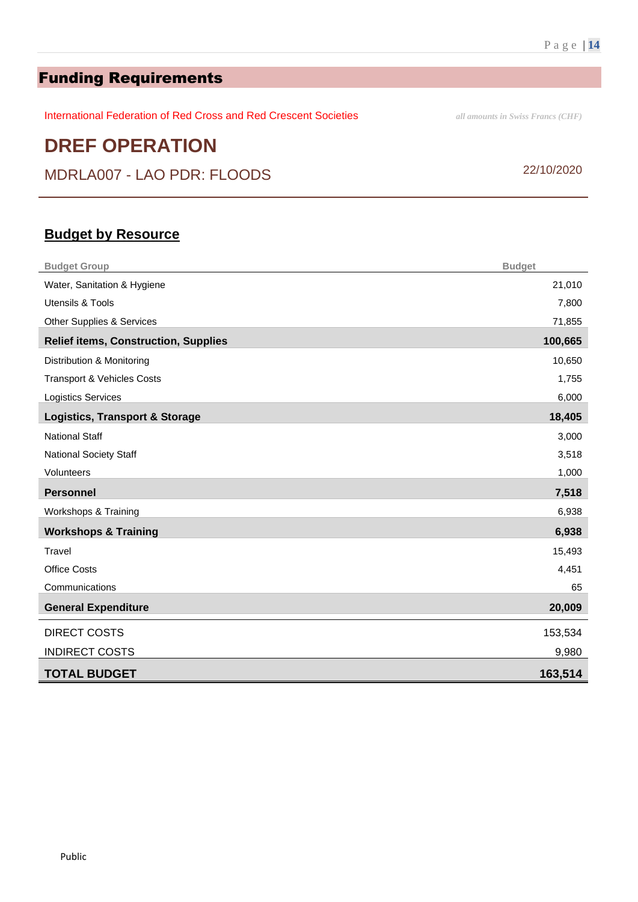# Funding Requirements

International Federation of Red Cross and Red Crescent Societies *all amounts in Swiss Francs (CHF)*

# **DREF OPERATION**

MDRLA007 - LAO PDR: FLOODS 22/10/2020

### **Budget by Resource**

| <b>Budget Group</b>                         | <b>Budget</b> |
|---------------------------------------------|---------------|
| Water, Sanitation & Hygiene                 | 21,010        |
| Utensils & Tools                            | 7,800         |
| Other Supplies & Services                   | 71,855        |
| <b>Relief items, Construction, Supplies</b> | 100,665       |
| Distribution & Monitoring                   | 10,650        |
| <b>Transport &amp; Vehicles Costs</b>       | 1,755         |
| <b>Logistics Services</b>                   | 6,000         |
| <b>Logistics, Transport &amp; Storage</b>   | 18,405        |
| <b>National Staff</b>                       | 3,000         |
| National Society Staff                      | 3,518         |
| Volunteers                                  | 1,000         |
| <b>Personnel</b>                            | 7,518         |
| Workshops & Training                        | 6,938         |
| <b>Workshops &amp; Training</b>             | 6,938         |
| Travel                                      | 15,493        |
| <b>Office Costs</b>                         | 4,451         |
| Communications                              | 65            |
| <b>General Expenditure</b>                  | 20,009        |
| <b>DIRECT COSTS</b>                         | 153,534       |
| <b>INDIRECT COSTS</b>                       | 9,980         |
| <b>TOTAL BUDGET</b>                         | 163,514       |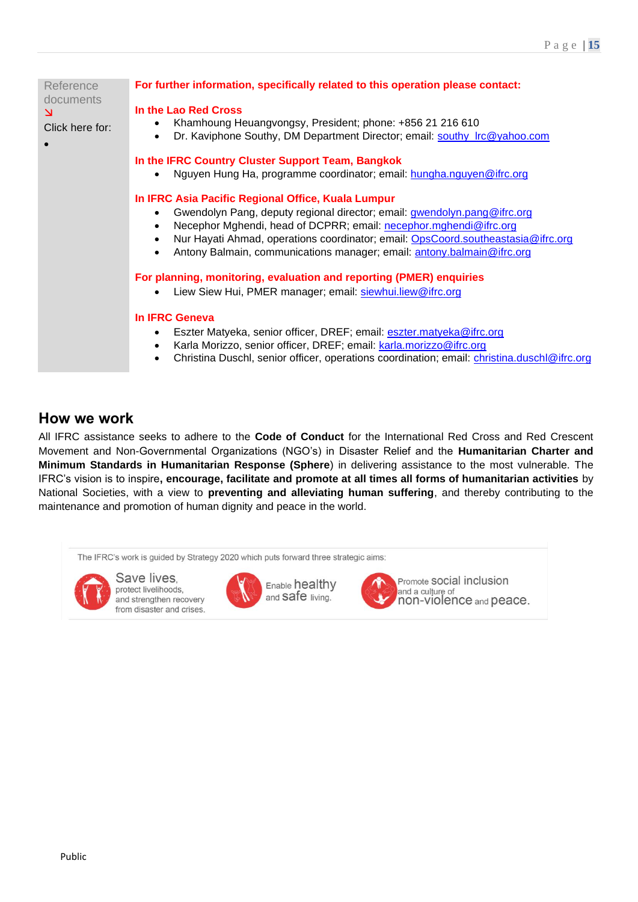| Reference<br>documents<br>N<br>Click here for: | For further information, specifically related to this operation please contact:                                                                                                                                                                                                                                                                                                |
|------------------------------------------------|--------------------------------------------------------------------------------------------------------------------------------------------------------------------------------------------------------------------------------------------------------------------------------------------------------------------------------------------------------------------------------|
|                                                | In the Lao Red Cross<br>Khamhoung Heuangvongsy, President; phone: +856 21 216 610<br>Dr. Kaviphone Southy, DM Department Director; email: southy_Irc@yahoo.com<br>$\bullet$                                                                                                                                                                                                    |
|                                                | In the IFRC Country Cluster Support Team, Bangkok<br>Nguyen Hung Ha, programme coordinator; email: hungha.nguyen@ifrc.org                                                                                                                                                                                                                                                      |
|                                                | In IFRC Asia Pacific Regional Office, Kuala Lumpur<br>Gwendolyn Pang, deputy regional director; email: gwendolyn.pang@ifrc.org<br>Necephor Mghendi, head of DCPRR; email: necephor.mghendi@ifrc.org<br>Nur Hayati Ahmad, operations coordinator; email: OpsCoord.southeastasia@ifrc.org<br>Antony Balmain, communications manager; email: antony.balmain@ifrc.org<br>$\bullet$ |
|                                                | For planning, monitoring, evaluation and reporting (PMER) enquiries<br>Liew Siew Hui, PMER manager; email: siewhui.liew@ifrc.org                                                                                                                                                                                                                                               |
|                                                | <b>In IFRC Geneva</b><br>Eszter Matyeka, senior officer, DREF; email: eszter.matyeka@ifrc.org<br>Karla Morizzo, senior officer, DREF; email: karla.morizzo@ifrc.org<br>Christina Duschl, senior officer, operations coordination; email: christina.duschl@ifrc.org                                                                                                             |

### **How we work**

All IFRC assistance seeks to adhere to the **Code of Conduct** for the International Red Cross and Red Crescent Movement and Non-Governmental Organizations (NGO's) in Disaster Relief and the **Humanitarian Charter and Minimum Standards in Humanitarian Response (Sphere**) in delivering assistance to the most vulnerable. The IFRC's vision is to inspire**, encourage, facilitate and promote at all times all forms of humanitarian activities** by National Societies, with a view to **preventing and alleviating human suffering**, and thereby contributing to the maintenance and promotion of human dignity and peace in the world.

The IFRC's work is guided by Strategy 2020 which puts forward three strategic aims:



Save lives. protect livelihoods, and strengthen recovery from disaster and crises.





Promote SOCial inclusion and a culture of non-violence and peace.